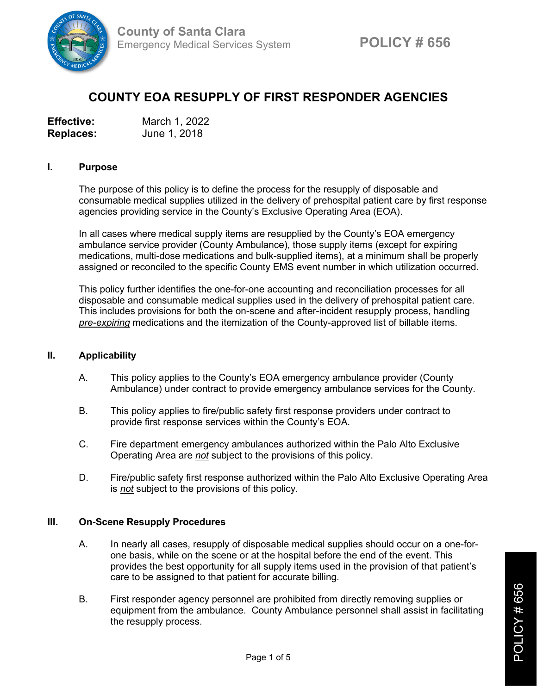

# **COUNTY EOA RESUPPLY OF FIRST RESPONDER AGENCIES**

| <b>Effective:</b> | March 1, 2022 |
|-------------------|---------------|
| <b>Replaces:</b>  | June 1, 2018  |

#### **I. Purpose**

The purpose of this policy is to define the process for the resupply of disposable and consumable medical supplies utilized in the delivery of prehospital patient care by first response agencies providing service in the County's Exclusive Operating Area (EOA).

In all cases where medical supply items are resupplied by the County's EOA emergency ambulance service provider (County Ambulance), those supply items (except for expiring medications, multi-dose medications and bulk-supplied items), at a minimum shall be properly assigned or reconciled to the specific County EMS event number in which utilization occurred.

This policy further identifies the one-for-one accounting and reconciliation processes for all disposable and consumable medical supplies used in the delivery of prehospital patient care. This includes provisions for both the on-scene and after-incident resupply process, handling *pre-expiring* medications and the itemization of the County-approved list of billable items.

#### **II. Applicability**

- A. This policy applies to the County's EOA emergency ambulance provider (County Ambulance) under contract to provide emergency ambulance services for the County.
- B. This policy applies to fire/public safety first response providers under contract to provide first response services within the County's EOA.
- C. Fire department emergency ambulances authorized within the Palo Alto Exclusive Operating Area are *not* subject to the provisions of this policy.
- D. Fire/public safety first response authorized within the Palo Alto Exclusive Operating Area is *not* subject to the provisions of this policy.

## **III. On-Scene Resupply Procedures**

- A. In nearly all cases, resupply of disposable medical supplies should occur on a one-forone basis, while on the scene or at the hospital before the end of the event. This provides the best opportunity for all supply items used in the provision of that patient's care to be assigned to that patient for accurate billing.
- B. First responder agency personnel are prohibited from directly removing supplies or equipment from the ambulance. County Ambulance personnel shall assist in facilitating the resupply process.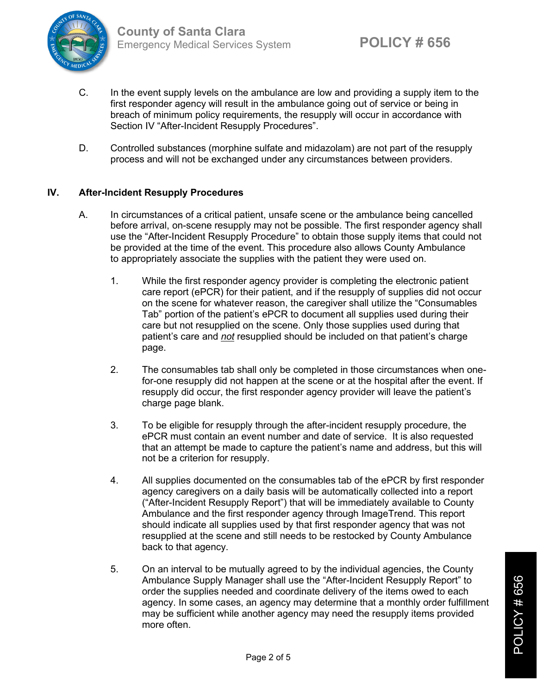

- C. In the event supply levels on the ambulance are low and providing a supply item to the first responder agency will result in the ambulance going out of service or being in breach of minimum policy requirements, the resupply will occur in accordance with Section IV "After-Incident Resupply Procedures".
- D. Controlled substances (morphine sulfate and midazolam) are not part of the resupply process and will not be exchanged under any circumstances between providers.

## **IV. After-Incident Resupply Procedures**

- A. In circumstances of a critical patient, unsafe scene or the ambulance being cancelled before arrival, on-scene resupply may not be possible. The first responder agency shall use the "After-Incident Resupply Procedure" to obtain those supply items that could not be provided at the time of the event. This procedure also allows County Ambulance to appropriately associate the supplies with the patient they were used on.
	- 1. While the first responder agency provider is completing the electronic patient care report (ePCR) for their patient, and if the resupply of supplies did not occur on the scene for whatever reason, the caregiver shall utilize the "Consumables Tab" portion of the patient's ePCR to document all supplies used during their care but not resupplied on the scene. Only those supplies used during that patient's care and *not* resupplied should be included on that patient's charge page.
	- 2. The consumables tab shall only be completed in those circumstances when onefor-one resupply did not happen at the scene or at the hospital after the event. If resupply did occur, the first responder agency provider will leave the patient's charge page blank.
	- 3. To be eligible for resupply through the after-incident resupply procedure, the ePCR must contain an event number and date of service. It is also requested that an attempt be made to capture the patient's name and address, but this will not be a criterion for resupply.
	- 4. All supplies documented on the consumables tab of the ePCR by first responder agency caregivers on a daily basis will be automatically collected into a report ("After-Incident Resupply Report") that will be immediately available to County Ambulance and the first responder agency through ImageTrend. This report should indicate all supplies used by that first responder agency that was not resupplied at the scene and still needs to be restocked by County Ambulance back to that agency.
	- 5. On an interval to be mutually agreed to by the individual agencies, the County Ambulance Supply Manager shall use the "After-Incident Resupply Report" to order the supplies needed and coordinate delivery of the items owed to each agency. In some cases, an agency may determine that a monthly order fulfillment may be sufficient while another agency may need the resupply items provided more often.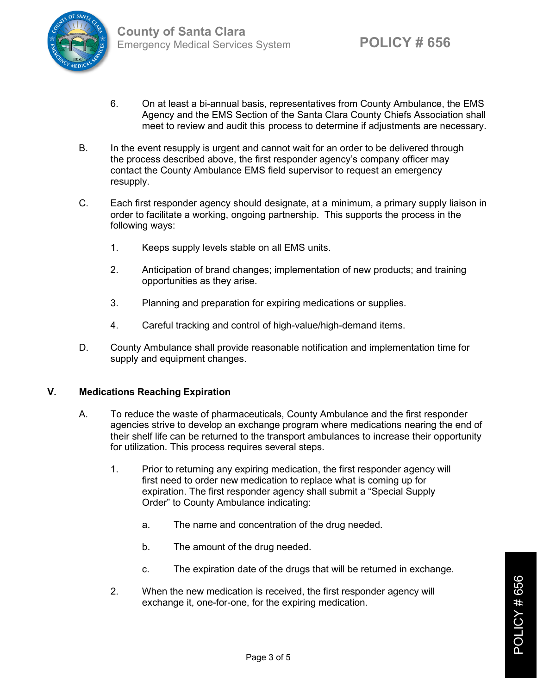

- 6. On at least a bi-annual basis, representatives from County Ambulance, the EMS Agency and the EMS Section of the Santa Clara County Chiefs Association shall meet to review and audit this process to determine if adjustments are necessary.
- B. In the event resupply is urgent and cannot wait for an order to be delivered through the process described above, the first responder agency's company officer may contact the County Ambulance EMS field supervisor to request an emergency resupply.
- C. Each first responder agency should designate, at a minimum, a primary supply liaison in order to facilitate a working, ongoing partnership. This supports the process in the following ways:
	- 1. Keeps supply levels stable on all EMS units.
	- 2. Anticipation of brand changes; implementation of new products; and training opportunities as they arise.
	- 3. Planning and preparation for expiring medications or supplies.
	- 4. Careful tracking and control of high-value/high-demand items.
- D. County Ambulance shall provide reasonable notification and implementation time for supply and equipment changes.

#### **V. Medications Reaching Expiration**

- A. To reduce the waste of pharmaceuticals, County Ambulance and the first responder agencies strive to develop an exchange program where medications nearing the end of their shelf life can be returned to the transport ambulances to increase their opportunity for utilization. This process requires several steps.
	- 1. Prior to returning any expiring medication, the first responder agency will first need to order new medication to replace what is coming up for expiration. The first responder agency shall submit a "Special Supply Order" to County Ambulance indicating:
		- a. The name and concentration of the drug needed.
		- b. The amount of the drug needed.
		- c. The expiration date of the drugs that will be returned in exchange.
	- 2. When the new medication is received, the first responder agency will exchange it, one-for-one, for the expiring medication.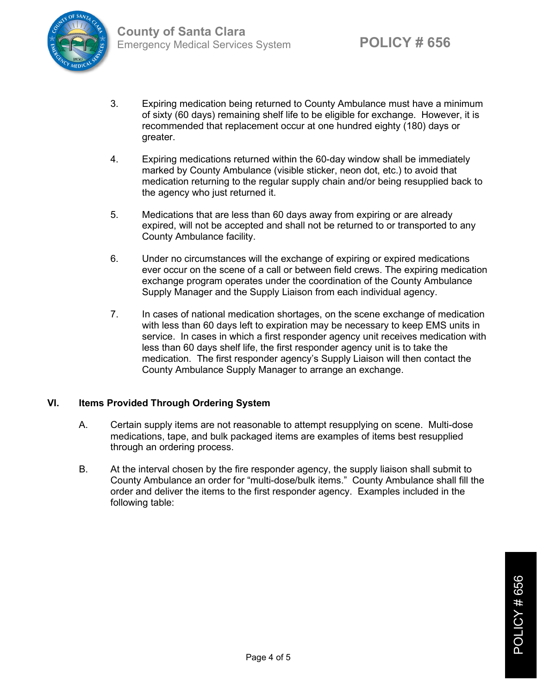

- 3. Expiring medication being returned to County Ambulance must have a minimum of sixty (60 days) remaining shelf life to be eligible for exchange. However, it is recommended that replacement occur at one hundred eighty (180) days or greater.
- 4. Expiring medications returned within the 60-day window shall be immediately marked by County Ambulance (visible sticker, neon dot, etc.) to avoid that medication returning to the regular supply chain and/or being resupplied back to the agency who just returned it.
- 5. Medications that are less than 60 days away from expiring or are already expired, will not be accepted and shall not be returned to or transported to any County Ambulance facility.
- 6. Under no circumstances will the exchange of expiring or expired medications ever occur on the scene of a call or between field crews. The expiring medication exchange program operates under the coordination of the County Ambulance Supply Manager and the Supply Liaison from each individual agency.
- 7. In cases of national medication shortages, on the scene exchange of medication with less than 60 days left to expiration may be necessary to keep EMS units in service. In cases in which a first responder agency unit receives medication with less than 60 days shelf life, the first responder agency unit is to take the medication. The first responder agency's Supply Liaison will then contact the County Ambulance Supply Manager to arrange an exchange.

## **VI. Items Provided Through Ordering System**

- A. Certain supply items are not reasonable to attempt resupplying on scene. Multi-dose medications, tape, and bulk packaged items are examples of items best resupplied through an ordering process.
- B. At the interval chosen by the fire responder agency, the supply liaison shall submit to County Ambulance an order for "multi-dose/bulk items." County Ambulance shall fill the order and deliver the items to the first responder agency. Examples included in the following table: